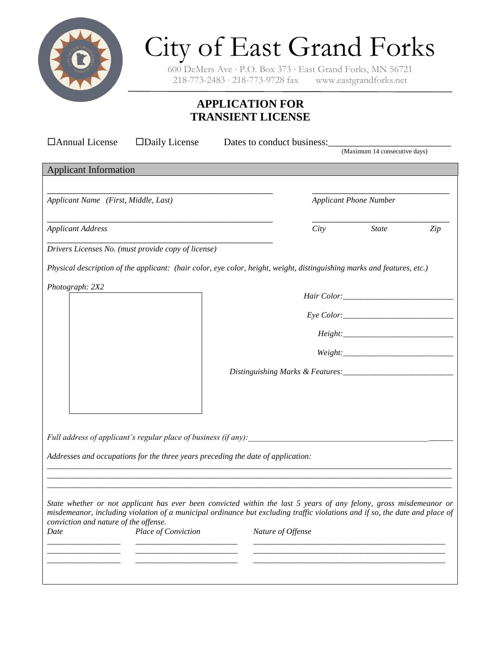

# City of East Grand Forks

600 DeMers Ave ∙ P.O. Box 373 ∙ East Grand Forks, MN 56721 218-773-2483 ∙ 218-773-9728 fax www.eastgrandforks.net

# **APPLICATION FOR TRANSIENT LICENSE**

| □ Annual License                      | $\square$ Daily License                             | Dates to conduct business:                                                                                                                                                                                                                        |                               |                                                                                                                                                                                                                                                                                                                                                                                                             |     |
|---------------------------------------|-----------------------------------------------------|---------------------------------------------------------------------------------------------------------------------------------------------------------------------------------------------------------------------------------------------------|-------------------------------|-------------------------------------------------------------------------------------------------------------------------------------------------------------------------------------------------------------------------------------------------------------------------------------------------------------------------------------------------------------------------------------------------------------|-----|
|                                       |                                                     |                                                                                                                                                                                                                                                   |                               | (Maximum 14 consecutive days)                                                                                                                                                                                                                                                                                                                                                                               |     |
| <b>Applicant Information</b>          |                                                     |                                                                                                                                                                                                                                                   |                               |                                                                                                                                                                                                                                                                                                                                                                                                             |     |
|                                       |                                                     |                                                                                                                                                                                                                                                   |                               |                                                                                                                                                                                                                                                                                                                                                                                                             |     |
| Applicant Name (First, Middle, Last)  |                                                     |                                                                                                                                                                                                                                                   | <b>Applicant Phone Number</b> |                                                                                                                                                                                                                                                                                                                                                                                                             |     |
| <b>Applicant Address</b>              |                                                     |                                                                                                                                                                                                                                                   | City                          | <b>State</b>                                                                                                                                                                                                                                                                                                                                                                                                | Zip |
|                                       | Drivers Licenses No. (must provide copy of license) |                                                                                                                                                                                                                                                   |                               |                                                                                                                                                                                                                                                                                                                                                                                                             |     |
|                                       |                                                     | Physical description of the applicant: (hair color, eye color, height, weight, distinguishing marks and features, etc.)                                                                                                                           |                               |                                                                                                                                                                                                                                                                                                                                                                                                             |     |
| Photograph: 2X2                       |                                                     |                                                                                                                                                                                                                                                   |                               |                                                                                                                                                                                                                                                                                                                                                                                                             |     |
|                                       |                                                     |                                                                                                                                                                                                                                                   |                               |                                                                                                                                                                                                                                                                                                                                                                                                             |     |
|                                       |                                                     |                                                                                                                                                                                                                                                   |                               |                                                                                                                                                                                                                                                                                                                                                                                                             |     |
|                                       |                                                     |                                                                                                                                                                                                                                                   |                               | $Weight: \begin{tabular}{@{}c@{}} \hline \rule[1mm]{4mm}{6mm} \rule[1mm]{4mm}{6mm} \rule[1mm]{4mm}{6mm} \rule[1mm]{4mm}{6mm} \rule[1mm]{4mm}{6mm} \rule[1mm]{4mm}{6mm} \rule[1mm]{4mm}{6mm} \rule[1mm]{4mm}{6mm} \rule[1mm]{4mm}{6mm} \rule[1mm]{4mm}{6mm} \rule[1mm]{4mm}{6mm} \rule[1mm]{4mm}{6mm} \rule[1mm]{4mm}{6mm} \rule[1mm]{4mm}{6mm} \rule[1mm]{4mm}{6mm} \rule[1mm]{4mm}{6mm} \rule[1mm]{4mm}{6$ |     |
|                                       |                                                     |                                                                                                                                                                                                                                                   |                               |                                                                                                                                                                                                                                                                                                                                                                                                             |     |
|                                       |                                                     |                                                                                                                                                                                                                                                   |                               |                                                                                                                                                                                                                                                                                                                                                                                                             |     |
|                                       |                                                     |                                                                                                                                                                                                                                                   |                               |                                                                                                                                                                                                                                                                                                                                                                                                             |     |
|                                       |                                                     | Full address of applicant's regular place of business (if any):                                                                                                                                                                                   |                               |                                                                                                                                                                                                                                                                                                                                                                                                             |     |
|                                       |                                                     | Addresses and occupations for the three years preceding the date of application:                                                                                                                                                                  |                               |                                                                                                                                                                                                                                                                                                                                                                                                             |     |
|                                       |                                                     |                                                                                                                                                                                                                                                   |                               |                                                                                                                                                                                                                                                                                                                                                                                                             |     |
| conviction and nature of the offense. |                                                     | State whether or not applicant has ever been convicted within the last 5 years of any felony, gross misdemeanor or<br>misdemeanor, including violation of a municipal ordinance but excluding traffic violations and if so, the date and place of |                               |                                                                                                                                                                                                                                                                                                                                                                                                             |     |
| Date                                  | Place of Conviction                                 | Nature of Offense                                                                                                                                                                                                                                 |                               |                                                                                                                                                                                                                                                                                                                                                                                                             |     |
|                                       |                                                     |                                                                                                                                                                                                                                                   |                               |                                                                                                                                                                                                                                                                                                                                                                                                             |     |
|                                       |                                                     |                                                                                                                                                                                                                                                   |                               |                                                                                                                                                                                                                                                                                                                                                                                                             |     |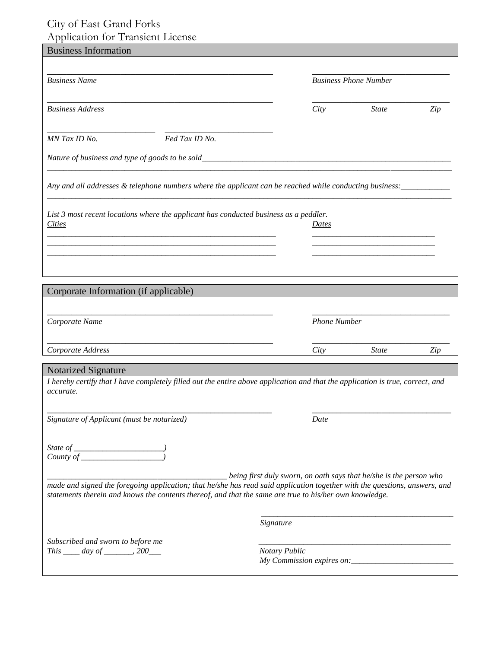## City of East Grand Forks Application for Transient License

| <b>Business Information</b>                                                                                                    |               |                     |                                                                    |     |
|--------------------------------------------------------------------------------------------------------------------------------|---------------|---------------------|--------------------------------------------------------------------|-----|
|                                                                                                                                |               |                     |                                                                    |     |
| <b>Business Name</b>                                                                                                           |               |                     | <b>Business Phone Number</b>                                       |     |
|                                                                                                                                |               |                     |                                                                    |     |
| <b>Business Address</b>                                                                                                        |               | City                | <b>State</b>                                                       | Zip |
|                                                                                                                                |               |                     |                                                                    |     |
| Fed Tax ID No.<br>MN Tax ID No.                                                                                                |               |                     |                                                                    |     |
|                                                                                                                                |               |                     |                                                                    |     |
| Any and all addresses & telephone numbers where the applicant can be reached while conducting business: ____________           |               |                     |                                                                    |     |
| List 3 most recent locations where the applicant has conducted business as a peddler.                                          |               |                     |                                                                    |     |
| Cities                                                                                                                         |               | Dates               |                                                                    |     |
|                                                                                                                                |               |                     |                                                                    |     |
|                                                                                                                                |               |                     |                                                                    |     |
|                                                                                                                                |               |                     |                                                                    |     |
| Corporate Information (if applicable)                                                                                          |               |                     |                                                                    |     |
|                                                                                                                                |               |                     |                                                                    |     |
| Corporate Name                                                                                                                 |               | <b>Phone Number</b> |                                                                    |     |
|                                                                                                                                |               |                     |                                                                    |     |
| Corporate Address                                                                                                              |               | City                | <b>State</b>                                                       | Zip |
| <b>Notarized Signature</b>                                                                                                     |               |                     |                                                                    |     |
| I hereby certify that I have completely filled out the entire above application and that the application is true, correct, and |               |                     |                                                                    |     |
| accurate.                                                                                                                      |               |                     |                                                                    |     |
| Signature of Applicant (must be notarized)                                                                                     |               | Date                |                                                                    |     |
|                                                                                                                                |               |                     |                                                                    |     |
|                                                                                                                                |               |                     |                                                                    |     |
|                                                                                                                                |               |                     |                                                                    |     |
| made and signed the foregoing application; that he/she has read said application together with the questions, answers, and     |               |                     | being first duly sworn, on oath says that he/she is the person who |     |
| statements therein and knows the contents thereof, and that the same are true to his/her own knowledge.                        |               |                     |                                                                    |     |
|                                                                                                                                |               |                     |                                                                    |     |
|                                                                                                                                | Signature     |                     |                                                                    |     |
| Subscribed and sworn to before me                                                                                              |               |                     |                                                                    |     |
| This $\_\_\_$ day of $\_\_\_\_$ 200 $\_\_\_\_$                                                                                 | Notary Public |                     |                                                                    |     |
|                                                                                                                                |               |                     |                                                                    |     |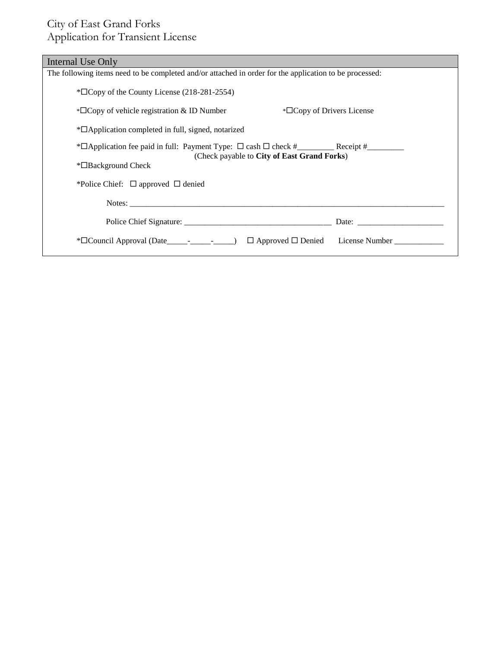# City of East Grand Forks Application for Transient License

| Internal Use Only                                                                                                                                                                                                              |  |  |  |  |  |
|--------------------------------------------------------------------------------------------------------------------------------------------------------------------------------------------------------------------------------|--|--|--|--|--|
| The following items need to be completed and/or attached in order for the application to be processed:                                                                                                                         |  |  |  |  |  |
| $\overline{\text{ECopy}}$ of the County License (218-281-2554)                                                                                                                                                                 |  |  |  |  |  |
| $\sqrt{\phantom{a}}$ Copy of Drivers License<br>$\sqrt{\phantom{a}}$ Copy of vehicle registration & ID Number                                                                                                                  |  |  |  |  |  |
| *□ Application completed in full, signed, notarized                                                                                                                                                                            |  |  |  |  |  |
|                                                                                                                                                                                                                                |  |  |  |  |  |
| (Check payable to City of East Grand Forks)<br>$*$ $\Box$ Background Check                                                                                                                                                     |  |  |  |  |  |
|                                                                                                                                                                                                                                |  |  |  |  |  |
| *Police Chief: $□$ approved $□$ denied                                                                                                                                                                                         |  |  |  |  |  |
|                                                                                                                                                                                                                                |  |  |  |  |  |
| Date: the contract of the contract of the contract of the contract of the contract of the contract of the contract of the contract of the contract of the contract of the contract of the contract of the contract of the cont |  |  |  |  |  |
| $\Box$ Approved $\Box$ Denied License Number                                                                                                                                                                                   |  |  |  |  |  |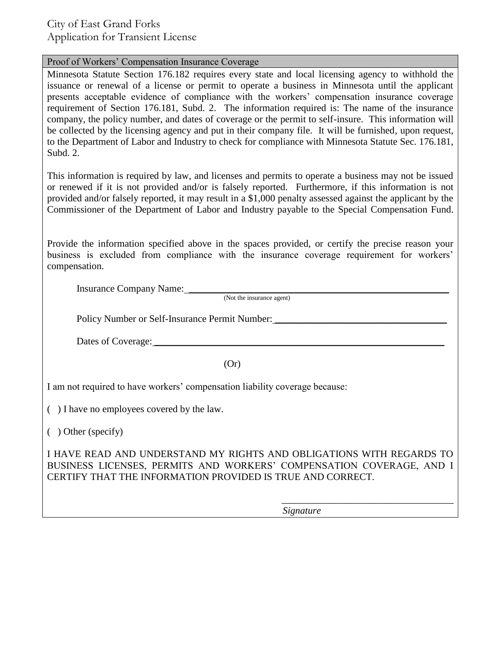City of East Grand Forks Application for Transient License

### Proof of Workers' Compensation Insurance Coverage

Minnesota Statute Section 176.182 requires every state and local licensing agency to withhold the issuance or renewal of a license or permit to operate a business in Minnesota until the applicant presents acceptable evidence of compliance with the workers' compensation insurance coverage requirement of Section 176.181, Subd. 2. The information required is: The name of the insurance company, the policy number, and dates of coverage or the permit to self-insure. This information will be collected by the licensing agency and put in their company file. It will be furnished, upon request, to the Department of Labor and Industry to check for compliance with Minnesota Statute Sec. 176.181, Subd. 2.

This information is required by law, and licenses and permits to operate a business may not be issued or renewed if it is not provided and/or is falsely reported. Furthermore, if this information is not provided and/or falsely reported, it may result in a \$1,000 penalty assessed against the applicant by the Commissioner of the Department of Labor and Industry payable to the Special Compensation Fund.

Provide the information specified above in the spaces provided, or certify the precise reason your business is excluded from compliance with the insurance coverage requirement for workers' compensation.

Insurance Company Name: \_\_\_\_\_\_\_\_\_\_\_\_\_\_\_\_\_\_\_\_\_\_\_\_\_\_\_\_\_\_\_\_\_\_\_\_\_\_\_\_\_\_\_\_\_\_\_\_\_\_\_\_\_

(Not the insurance agent)

Policy Number or Self-Insurance Permit Number: \_\_\_\_\_\_\_\_\_\_\_\_\_\_\_\_\_\_\_\_\_\_\_\_\_\_\_\_\_\_\_\_\_

Dates of Coverage:

(Or)

I am not required to have workers' compensation liability coverage because:

( ) I have no employees covered by the law.

( ) Other (specify)

I HAVE READ AND UNDERSTAND MY RIGHTS AND OBLIGATIONS WITH REGARDS TO BUSINESS LICENSES, PERMITS AND WORKERS' COMPENSATION COVERAGE, AND I CERTIFY THAT THE INFORMATION PROVIDED IS TRUE AND CORRECT.

*Signature*

\_\_\_\_\_\_\_\_\_\_\_\_\_\_\_\_\_\_\_\_\_\_\_\_\_\_\_\_\_\_\_\_\_\_\_